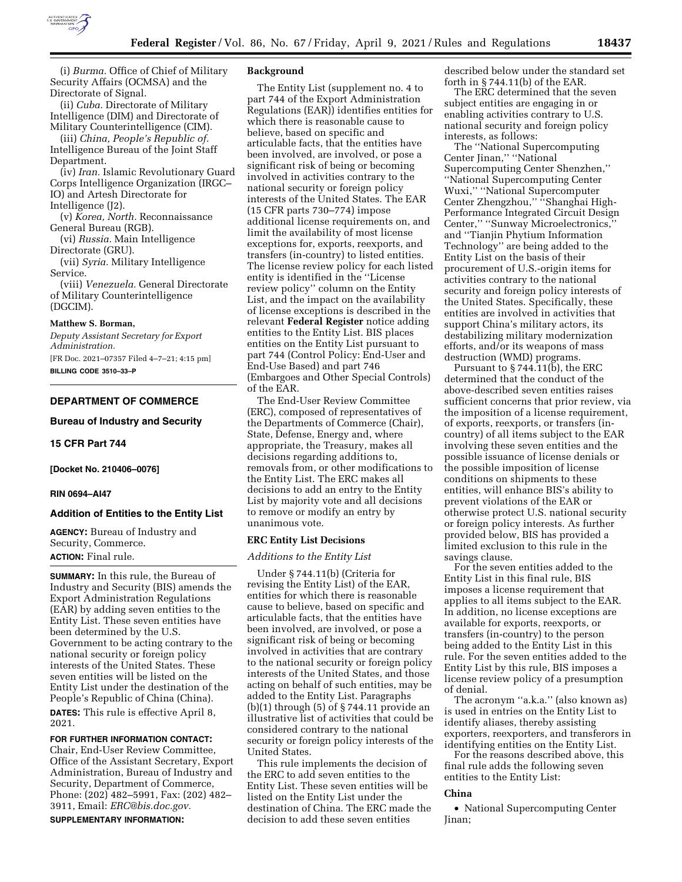

(i) *Burma.* Office of Chief of Military Security Affairs (OCMSA) and the Directorate of Signal.

(ii) *Cuba.* Directorate of Military Intelligence (DIM) and Directorate of Military Counterintelligence (CIM).

(iii) *China, People's Republic of.*  Intelligence Bureau of the Joint Staff Department.

(iv) *Iran.* Islamic Revolutionary Guard Corps Intelligence Organization (IRGC– IO) and Artesh Directorate for Intelligence (J2).

(v) *Korea, North.* Reconnaissance General Bureau (RGB).

(vi) *Russia.* Main Intelligence Directorate (GRU).

(vii) *Syria.* Military Intelligence Service.

(viii) *Venezuela.* General Directorate of Military Counterintelligence (DGCIM).

## **Matthew S. Borman,**

*Deputy Assistant Secretary for Export Administration.* 

[FR Doc. 2021–07357 Filed 4–7–21; 4:15 pm] **BILLING CODE 3510–33–P** 

# **DEPARTMENT OF COMMERCE**

**Bureau of Industry and Security** 

#### **15 CFR Part 744**

**[Docket No. 210406–0076]** 

#### **RIN 0694–AI47**

#### **Addition of Entities to the Entity List**

**AGENCY:** Bureau of Industry and Security, Commerce. **ACTION:** Final rule.

**SUMMARY:** In this rule, the Bureau of Industry and Security (BIS) amends the Export Administration Regulations (EAR) by adding seven entities to the Entity List. These seven entities have been determined by the U.S. Government to be acting contrary to the national security or foreign policy interests of the United States. These seven entities will be listed on the Entity List under the destination of the People's Republic of China (China).

**DATES:** This rule is effective April 8, 2021.

## **FOR FURTHER INFORMATION CONTACT:**

Chair, End-User Review Committee, Office of the Assistant Secretary, Export Administration, Bureau of Industry and Security, Department of Commerce, Phone: (202) 482–5991, Fax: (202) 482– 3911, Email: *[ERC@bis.doc.gov.](mailto:ERC@bis.doc.gov)*  **SUPPLEMENTARY INFORMATION:** 

#### **Background**

The Entity List (supplement no. 4 to part 744 of the Export Administration Regulations (EAR)) identifies entities for which there is reasonable cause to believe, based on specific and articulable facts, that the entities have been involved, are involved, or pose a significant risk of being or becoming involved in activities contrary to the national security or foreign policy interests of the United States. The EAR (15 CFR parts 730–774) impose additional license requirements on, and limit the availability of most license exceptions for, exports, reexports, and transfers (in-country) to listed entities. The license review policy for each listed entity is identified in the ''License review policy'' column on the Entity List, and the impact on the availability of license exceptions is described in the relevant **Federal Register** notice adding entities to the Entity List. BIS places entities on the Entity List pursuant to part 744 (Control Policy: End-User and End-Use Based) and part 746 (Embargoes and Other Special Controls) of the EAR.

The End-User Review Committee (ERC), composed of representatives of the Departments of Commerce (Chair), State, Defense, Energy and, where appropriate, the Treasury, makes all decisions regarding additions to, removals from, or other modifications to the Entity List. The ERC makes all decisions to add an entry to the Entity List by majority vote and all decisions to remove or modify an entry by unanimous vote.

#### **ERC Entity List Decisions**

## *Additions to the Entity List*

Under § 744.11(b) (Criteria for revising the Entity List) of the EAR, entities for which there is reasonable cause to believe, based on specific and articulable facts, that the entities have been involved, are involved, or pose a significant risk of being or becoming involved in activities that are contrary to the national security or foreign policy interests of the United States, and those acting on behalf of such entities, may be added to the Entity List. Paragraphs (b)(1) through (5) of § 744.11 provide an illustrative list of activities that could be considered contrary to the national security or foreign policy interests of the United States.

This rule implements the decision of the ERC to add seven entities to the Entity List. These seven entities will be listed on the Entity List under the destination of China. The ERC made the decision to add these seven entities

described below under the standard set forth in § 744.11(b) of the EAR.

The ERC determined that the seven subject entities are engaging in or enabling activities contrary to U.S. national security and foreign policy interests, as follows:

The ''National Supercomputing Center Jinan,'' ''National Supercomputing Center Shenzhen,'' ''National Supercomputing Center Wuxi,'' ''National Supercomputer Center Zhengzhou,'' ''Shanghai High-Performance Integrated Circuit Design Center,'' ''Sunway Microelectronics,'' and ''Tianjin Phytium Information Technology'' are being added to the Entity List on the basis of their procurement of U.S.-origin items for activities contrary to the national security and foreign policy interests of the United States. Specifically, these entities are involved in activities that support China's military actors, its destabilizing military modernization efforts, and/or its weapons of mass destruction (WMD) programs.

Pursuant to  $\S 744.11(b)$ , the ERC determined that the conduct of the above-described seven entities raises sufficient concerns that prior review, via the imposition of a license requirement, of exports, reexports, or transfers (incountry) of all items subject to the EAR involving these seven entities and the possible issuance of license denials or the possible imposition of license conditions on shipments to these entities, will enhance BIS's ability to prevent violations of the EAR or otherwise protect U.S. national security or foreign policy interests. As further provided below, BIS has provided a limited exclusion to this rule in the savings clause.

For the seven entities added to the Entity List in this final rule, BIS imposes a license requirement that applies to all items subject to the EAR. In addition, no license exceptions are available for exports, reexports, or transfers (in-country) to the person being added to the Entity List in this rule. For the seven entities added to the Entity List by this rule, BIS imposes a license review policy of a presumption of denial.

The acronym ''a.k.a.'' (also known as) is used in entries on the Entity List to identify aliases, thereby assisting exporters, reexporters, and transferors in identifying entities on the Entity List.

For the reasons described above, this final rule adds the following seven entities to the Entity List:

## **China**

• National Supercomputing Center Jinan;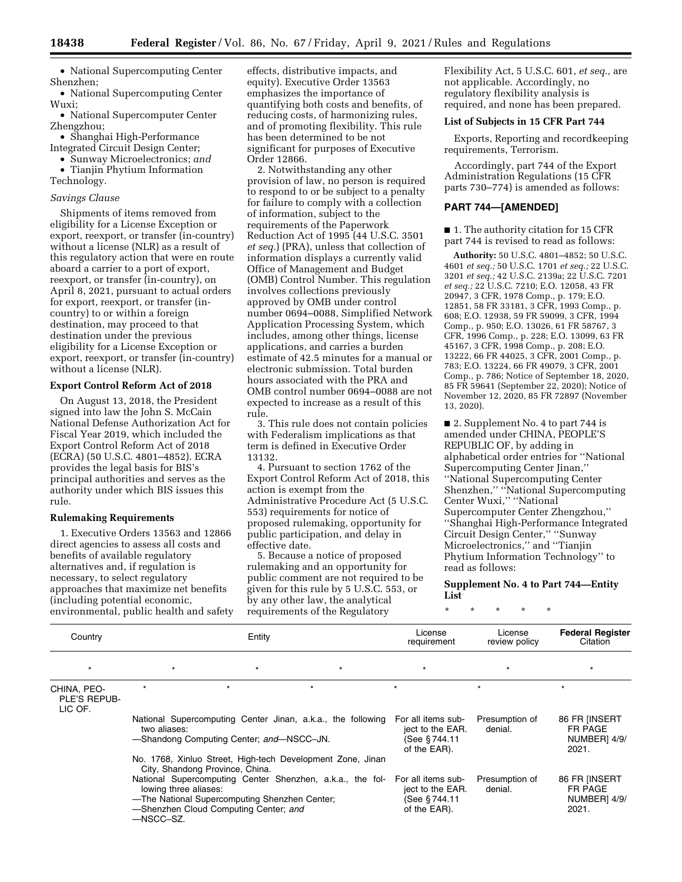• National Supercomputing Center Shenzhen;

• National Supercomputing Center Wuxi;

• National Supercomputer Center Zhengzhou;

- Shanghai High-Performance Integrated Circuit Design Center;
- Sunway Microelectronics; *and*
- Tianjin Phytium Information Technology.

## *Savings Clause*

Shipments of items removed from eligibility for a License Exception or export, reexport, or transfer (in-country) without a license (NLR) as a result of this regulatory action that were en route aboard a carrier to a port of export, reexport, or transfer (in-country), on April 8, 2021, pursuant to actual orders for export, reexport, or transfer (incountry) to or within a foreign destination, may proceed to that destination under the previous eligibility for a License Exception or export, reexport, or transfer (in-country) without a license (NLR).

## **Export Control Reform Act of 2018**

On August 13, 2018, the President signed into law the John S. McCain National Defense Authorization Act for Fiscal Year 2019, which included the Export Control Reform Act of 2018 (ECRA) (50 U.S.C. 4801–4852). ECRA provides the legal basis for BIS's principal authorities and serves as the authority under which BIS issues this rule.

#### **Rulemaking Requirements**

1. Executive Orders 13563 and 12866 direct agencies to assess all costs and benefits of available regulatory alternatives and, if regulation is necessary, to select regulatory approaches that maximize net benefits (including potential economic, environmental, public health and safety effects, distributive impacts, and equity). Executive Order 13563 emphasizes the importance of quantifying both costs and benefits, of reducing costs, of harmonizing rules, and of promoting flexibility. This rule has been determined to be not significant for purposes of Executive Order 12866.

2. Notwithstanding any other provision of law, no person is required to respond to or be subject to a penalty for failure to comply with a collection of information, subject to the requirements of the Paperwork Reduction Act of 1995 (44 U.S.C. 3501 *et seq.*) (PRA), unless that collection of information displays a currently valid Office of Management and Budget (OMB) Control Number. This regulation involves collections previously approved by OMB under control number 0694–0088, Simplified Network Application Processing System, which includes, among other things, license applications, and carries a burden estimate of 42.5 minutes for a manual or electronic submission. Total burden hours associated with the PRA and OMB control number 0694–0088 are not expected to increase as a result of this rule.

3. This rule does not contain policies with Federalism implications as that term is defined in Executive Order 13132.

4. Pursuant to section 1762 of the Export Control Reform Act of 2018, this action is exempt from the Administrative Procedure Act (5 U.S.C. 553) requirements for notice of proposed rulemaking, opportunity for public participation, and delay in effective date.

5. Because a notice of proposed rulemaking and an opportunity for public comment are not required to be given for this rule by 5 U.S.C. 553, or by any other law, the analytical requirements of the Regulatory

Flexibility Act, 5 U.S.C. 601, *et seq.,* are not applicable. Accordingly, no regulatory flexibility analysis is required, and none has been prepared.

## **List of Subjects in 15 CFR Part 744**

Exports, Reporting and recordkeeping requirements, Terrorism.

Accordingly, part 744 of the Export Administration Regulations (15 CFR parts 730–774) is amended as follows:

#### **PART 744—[AMENDED]**

■ 1. The authority citation for 15 CFR part 744 is revised to read as follows:

**Authority:** 50 U.S.C. 4801–4852; 50 U.S.C. 4601 *et seq.;* 50 U.S.C. 1701 *et seq.;* 22 U.S.C. 3201 *et seq.;* 42 U.S.C. 2139a; 22 U.S.C. 7201 *et seq.;* 22 U.S.C. 7210; E.O. 12058, 43 FR 20947, 3 CFR, 1978 Comp., p. 179; E.O. 12851, 58 FR 33181, 3 CFR, 1993 Comp., p. 608; E.O. 12938, 59 FR 59099, 3 CFR, 1994 Comp., p. 950; E.O. 13026, 61 FR 58767, 3 CFR, 1996 Comp., p. 228; E.O. 13099, 63 FR 45167, 3 CFR, 1998 Comp., p. 208; E.O. 13222, 66 FR 44025, 3 CFR, 2001 Comp., p. 783; E.O. 13224, 66 FR 49079, 3 CFR, 2001 Comp., p. 786; Notice of September 18, 2020, 85 FR 59641 (September 22, 2020); Notice of November 12, 2020, 85 FR 72897 (November 13, 2020).

■ 2. Supplement No. 4 to part 744 is amended under CHINA, PEOPLE'S REPUBLIC OF, by adding in alphabetical order entries for ''National Supercomputing Center Jinan,'' ''National Supercomputing Center Shenzhen,'' ''National Supercomputing Center Wuxi,'' ''National Supercomputer Center Zhengzhou,'' ''Shanghai High-Performance Integrated Circuit Design Center,'' ''Sunway Microelectronics,'' and ''Tianjin Phytium Information Technology'' to read as follows:

## **Supplement No. 4 to Part 744—Entity List**

\* \* \* \* \*

|                                        | Entity                                                                                                                                                                                                                                                                                     |                                          |                                                             |                                                                         | License<br>review policy  | <b>Federal Register</b><br>Citation               |
|----------------------------------------|--------------------------------------------------------------------------------------------------------------------------------------------------------------------------------------------------------------------------------------------------------------------------------------------|------------------------------------------|-------------------------------------------------------------|-------------------------------------------------------------------------|---------------------------|---------------------------------------------------|
| Country                                |                                                                                                                                                                                                                                                                                            |                                          |                                                             | License<br>requirement                                                  |                           |                                                   |
| $\star$                                | $\star$                                                                                                                                                                                                                                                                                    | $\star$                                  | $\star$                                                     | $\star$                                                                 | $\star$                   | $\star$                                           |
| CHINA, PEO-<br>PLE'S REPUB-<br>LIC OF. | $\star$                                                                                                                                                                                                                                                                                    | $\star$                                  | $\ddot{}$                                                   | $\star$                                                                 | $\star$                   |                                                   |
|                                        | two aliases:                                                                                                                                                                                                                                                                               | -Shandong Computing Center; and-NSCC-JN. | National Supercomputing Center Jinan, a.k.a., the following | For all items sub-<br>ject to the EAR.<br>(See § 744.11<br>of the EAR). | Presumption of<br>denial. | 86 FR [INSERT<br>FR PAGE<br>NUMBER] 4/9/<br>2021. |
|                                        | No. 1768, Xinluo Street, High-tech Development Zone, Jinan<br>City, Shandong Province, China.<br>National Supercomputing Center Shenzhen, a.k.a., the fol-<br>lowing three aliases:<br>-The National Supercomputing Shenzhen Center;<br>-Shenzhen Cloud Computing Center; and<br>-NSCC-SZ. |                                          |                                                             | For all items sub-<br>ject to the EAR.<br>(See §744.11<br>of the EAR).  | Presumption of<br>denial. | 86 FR IINSERT<br>FR PAGE<br>NUMBER] 4/9/<br>2021. |